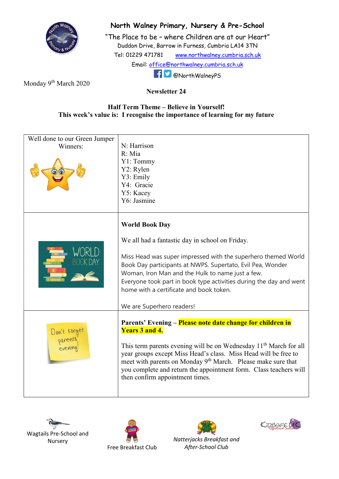

## North Walney Primary, Nursery & Pre-School

"The Place to be – where Children are at our Heart" Duddon Drive, Barrow in Furness, Cumbria LA14 3TN Tel: 01229 471781 www.northwalney.cumbria.sch.uk Email: office@northwalney.cumbria.sch.uk @NorthWalneyPS

Monday 9<sup>th</sup> March 2020

## Newsletter 24

## Half Term Theme – Believe in Yourself! This week's value is: I recognise the importance of learning for my future

| Well done to our Green Jumper<br>Winners: | N: Harrison<br>R: Mia<br>Y1: Tommy<br>Y2: Rylen<br>Y3: Emily<br>Y4: Gracie                                                                                                                                                                                                                                                                                                                                                  |
|-------------------------------------------|-----------------------------------------------------------------------------------------------------------------------------------------------------------------------------------------------------------------------------------------------------------------------------------------------------------------------------------------------------------------------------------------------------------------------------|
|                                           | Y5: Kacey<br>Y6: Jasmine                                                                                                                                                                                                                                                                                                                                                                                                    |
|                                           | <b>World Book Day</b>                                                                                                                                                                                                                                                                                                                                                                                                       |
|                                           | We all had a fantastic day in school on Friday.<br>Miss Head was super impressed with the superhero themed World<br>Book Day participants at NWPS. Supertato, Evil Pea, Wonder<br>Woman, Iron Man and the Hulk to name just a few.<br>Everyone took part in book type activities during the day and went<br>home with a certificate and book token.<br>We are Superhero readers!                                            |
| Don't forget<br>parents<br>evening        | Parents' Evening - Please note date change for children in<br><b>Years 3 and 4.</b><br>This term parents evening will be on Wednesday 11 <sup>th</sup> March for all<br>year groups except Miss Head's class. Miss Head will be free to<br>meet with parents on Monday 9 <sup>th</sup> March. Please make sure that<br>you complete and return the appointment form. Class teachers will<br>then confirm appointment times. |









Natterjacks Breakfast and After-School Club